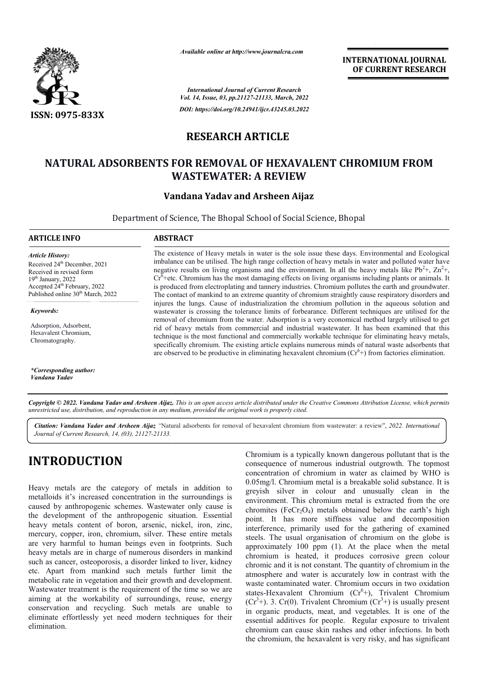

*Available online at http://www.journalcra.com*

*International Journal of Current Research Vol. 14, Issue, 03, pp.21127-21133, March, 2022 DOI: https://doi.org/10.24941/ijcr.43245.03.2022* **INTERNATIONAL JOURNAL OF CURRENT RESEARCH**

### **RESEARCH ARTICLE**

# **NATURAL ADSORBENTS FOR REMOVAL OF HEXAVALENT CHROMIUM FROM FROM WASTEWATER: A REVIEW**

### **Vandana Yadav and Arsheen Aijaz**

Department of Science, The Bhopal School of Social Science, Bhopal

| ARTICLE INFO                                                                                                                                                                                                  | <b>ABSTRACT</b>                                                                                                                                                                                                                                                                                                                                                                                                                                                                                                                                                                                                                                                                                                                          |  |  |  |  |
|---------------------------------------------------------------------------------------------------------------------------------------------------------------------------------------------------------------|------------------------------------------------------------------------------------------------------------------------------------------------------------------------------------------------------------------------------------------------------------------------------------------------------------------------------------------------------------------------------------------------------------------------------------------------------------------------------------------------------------------------------------------------------------------------------------------------------------------------------------------------------------------------------------------------------------------------------------------|--|--|--|--|
| Article History:<br>Received 24 <sup>th</sup> December, 2021<br>Received in revised form<br>$19th$ January, 2022<br>Accepted 24 <sup>th</sup> February, 2022<br>Published online 30 <sup>th</sup> March, 2022 | The existence of Heavy metals in water is the sole issue these days. Environmental and Ecological<br>imbalance can be utilised. The high range collection of heavy metals in water and polluted water have<br>negative results on living organisms and the environment. In all the heavy metals like $Pb^{2+}$ , $Zn^{2+}$ ,<br>$Cr6$ +etc. Chromium has the most damaging effects on living organisms including plants or animals. It<br>is produced from electroplating and tannery industries. Chromium pollutes the earth and groundwater.<br>The contact of mankind to an extreme quantity of chromium straightly cause respiratory disorders and                                                                                   |  |  |  |  |
| Keywords:<br>Adsorption, Adsorbent,<br>Hexavalent Chromium,<br>Chromatography.                                                                                                                                | injures the lungs. Cause of industrialization the chromium pollution in the aqueous solution and<br>wastewater is crossing the tolerance limits of forbearance. Different techniques are utilised for the<br>removal of chromium from the water. Adsorption is a very economical method largely utilised to get<br>rid of heavy metals from commercial and industrial wastewater. It has been examined that this<br>technique is the most functional and commercially workable technique for eliminating heavy metals,<br>specifically chromium. The existing article explains numerous minds of natural waste adsorbents that<br>are observed to be productive in eliminating hexavalent chromium $(Cr^6+)$ from factories elimination. |  |  |  |  |

*\*Corresponding author: Vandana Yadav*

Copyright © 2022. Vandana Yadav and Arsheen Aijaz. This is an open access article distributed under the Creative Commons Attribution License, which permits *unrestricted use, distribution, and reproduction in any medium, provided the original work is properly cited.*

*Citation: Vandana Yadav and Arsheen Aijaz "*Natural adsorbents for removal of hexavalent chromium from wastewater: a review a review", *2022. InternationalJournal of Current Research, 14, (03), 21127-21133.*

# **INTRODUCTION**

Heavy metals are the category of metals in addition to metalloids it's increased concentration in the surroundings is caused by anthropogenic schemes. Wastewater only cause is the development of the anthropogenic situation. Essential heavy metals content of boron, arsenic, nickel, iron, zinc, mercury, copper, iron, chromium, silver. These entire metals are very harmful to human beings even in footprints. Such heavy metals are in charge of numerous disorders in mankind such as cancer, osteoporosis, a disorder linked to liver, kidney etc. Apart from mankind such metals further limit the metabolic rate in vegetation and their growth and development. Wastewater treatment is the requirement of the time so we are heavy metals content of boron, arsenic, nickel, iron, zinc, mercury, copper, iron, chromium, silver. These entire metals are very harmful to human beings even in footprints. Such heavy metals are in charge of numerous diso conservation and recycling. Such metals are unable to eliminate effortlessly yet need modern techniques for their elimination.

Chromium is a typically known dangerous pollutant that is the Chromium is a typically known dangerous pollutant that is the consequence of numerous industrial outgrowth. The topmost concentration of chromium in water as claimed by WHO is 0.05mg/l. Chromium metal is a breakable solid substance. It is greyish silver in colour and unusually clean in the environment. This chromium metal is extracted from the ore chromites (FeCr<sub>2</sub>O<sub>4</sub>) metals obtained below the earth's high point. It has more stiffness value and decomposition interference, primarily used for the gathering of examined steels. The usual organisation of chromium on the globe is approximately 100 ppm (1). At the place when the metal chromium is heated, it produces corrosive green colour chromic and it is not constant. The quantity of chromium in the atmosphere and water is accurately low in contrast with the waste contaminated water. Chromium occurs in two oxidation chromium is heated, it produces corrosive green colour chromic and it is not constant. The quantity of chromium in the atmosphere and water is accurately low in contrast with the waste contaminated water. Chromium occurs  $(Cr<sup>3</sup>+)$ . 3. Cr(0). Trivalent Chromium  $(Cr<sup>3</sup>+)$  is usually present in organic products, meat, and vegetables. It is one of the in organic products, meat, and vegetables. It is one of the essential additives for people. Regular exposure to trivalent chromium can cause skin rashes and other infections. In both the chromium, the hexavalent is very risky, and has significant concentration of chromium in water as claimed by WHO is 0.05mg/l. Chromium metal is a breakable solid substance. It is greyish silver in colour and unusually clean in the environment. This chromium metal is extracted from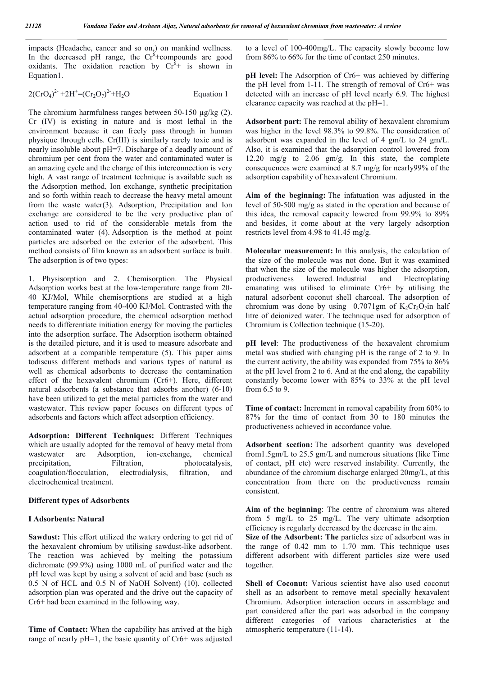impacts (Headache, cancer and so on,) on mankind wellness. In the decreased pH range, the  $Cr^6$ +compounds are good oxidants. The oxidation reaction by  $Cr^{\bar{6}}$  is shown in Equation1.

$$
2(\text{CrO}_4)^2 + 2\text{H}^+ = (\text{Cr}_2\text{O}_7)^2 + \text{H}_2\text{O}
$$
 Equation 1

The chromium harmfulness ranges between  $50-150 \text{ ug/kg}$  (2). Cr (IV) is existing in nature and is most lethal in the environment because it can freely pass through in human physique through cells. Cr(III) is similarly rarely toxic and is nearly insoluble about pH=7. Discharge of a deadly amount of chromium per cent from the water and contaminated water is an amazing cycle and the charge of this interconnection is very high. A vast range of treatment technique is available such as the Adsorption method, Ion exchange, synthetic precipitation and so forth within reach to decrease the heavy metal amount from the waste water(3). Adsorption, Precipitation and Ion exchange are considered to be the very productive plan of action used to rid of the considerable metals from the contaminated water (4). Adsorption is the method at point particles are adsorbed on the exterior of the adsorbent. This method consists of film known as an adsorbent surface is built. The adsorption is of two types:

1. Physisorption and 2. Chemisorption. The Physical Adsorption works best at the low-temperature range from 20- 40 KJ/Mol, While chemisorptions are studied at a high temperature ranging from 40-400 KJ/Mol. Contrasted with the actual adsorption procedure, the chemical adsorption method needs to differentiate initiation energy for moving the particles into the adsorption surface. The Adsorption isotherm obtained is the detailed picture, and it is used to measure adsorbate and adsorbent at a compatible temperature (5). This paper aims todiscuss different methods and various types of natural as well as chemical adsorbents to decrease the contamination effect of the hexavalent chromium (Cr6+). Here, different natural adsorbents (a substance that adsorbs another) (6-10) have been utilized to get the metal particles from the water and wastewater. This review paper focuses on different types of adsorbents and factors which affect adsorption efficiency.

**Adsorption: Different Techniques:** Different Techniques which are usually adopted for the removal of heavy metal from wastewater are Adsorption, ion-exchange, chemical precipitation, Filtration, photocatalysis, coagulation/flocculation, electrodialysis, filtration, and electrochemical treatment.

#### **Different types of Adsorbents**

#### **I Adsorbents: Natural**

**Sawdust:** This effort utilized the watery ordering to get rid of the hexavalent chromium by utilising sawdust-like adsorbent. The reaction was achieved by melting the potassium dichromate (99.9%) using 1000 mL of purified water and the pH level was kept by using a solvent of acid and base (such as 0.5 N of HCL and 0.5 N of NaOH Solvent) (10). collected adsorption plan was operated and the drive out the capacity of Cr6+ had been examined in the following way.

**Time of Contact:** When the capability has arrived at the high range of nearly  $pH=1$ , the basic quantity of  $Cr6+$  was adjusted to a level of 100-400mg/L. The capacity slowly become low from 86% to 66% for the time of contact 250 minutes.

**pH** level: The Adsorption of Cr6+ was achieved by differing the pH level from 1-11. The strength of removal of Cr6+ was detected with an increase of pH level nearly 6.9. The highest clearance capacity was reached at the pH=1.

**Adsorbent part:** The removal ability of hexavalent chromium was higher in the level 98.3% to 99.8%. The consideration of adsorbent was expanded in the level of 4 gm/L to 24 gm/L. Also, it is examined that the adsorption control lowered from 12.20 mg/g to 2.06 gm/g. In this state, the complete consequences were examined at 8.7 mg/g for nearly99% of the adsorption capability of hexavalent Chromium.

**Aim of the beginning:** The infatuation was adjusted in the level of 50-500 mg/g as stated in the operation and because of this idea, the removal capacity lowered from 99.9% to 89% and besides, it come about at the very largely adsorption restricts level from 4.98 to 41.45 mg/g.

**Molecular measurement:** In this analysis, the calculation of the size of the molecule was not done. But it was examined that when the size of the molecule was higher the adsorption, productiveness lowered. Industrial and Electroplating emanating was utilised to eliminate Cr6+ by utilising the natural adsorbent coconut shell charcoal. The adsorption of chromium was done by using 0.7071gm of  $K_2Cr_2O_7$ in half litre of deionized water. The technique used for adsorption of Chromium is Collection technique (15-20).

**pH level**: The productiveness of the hexavalent chromium metal was studied with changing pH is the range of 2 to 9. In the current activity, the ability was expanded from 75% to 86% at the pH level from 2 to 6. And at the end along, the capability constantly become lower with 85% to 33% at the pH level from 6.5 to 9.

**Time of contact:** Increment in removal capability from 60% to 87% for the time of contact from 30 to 180 minutes the productiveness achieved in accordance value.

**Adsorbent section:** The adsorbent quantity was developed from1.5gm/L to 25.5 gm/L and numerous situations (like Time of contact, pH etc) were reserved instability. Currently, the abundance of the chromium discharge enlarged 20mg/L, at this concentration from there on the productiveness remain consistent.

**Aim of the beginning**: The centre of chromium was altered from 5 mg/L to 25 mg/L. The very ultimate adsorption efficiency is regularly decreased by the decrease in the aim.

**Size of the Adsorbent: The** particles size of adsorbent was in the range of 0.42 mm to 1.70 mm. This technique uses different adsorbent with different particles size were used together.

**Shell of Coconut:** Various scientist have also used coconut shell as an adsorbent to remove metal specially hexavalent Chromium. Adsorption interaction occurs in assemblage and part considered after the part was adsorbed in the company different categories of various characteristics at the atmospheric temperature (11-14).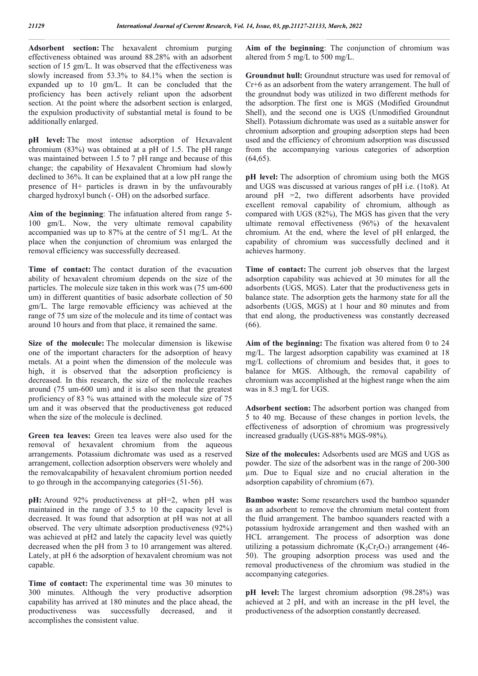**Adsorbent section:** The hexavalent chromium purging effectiveness obtained was around 88.28% with an adsorbent section of 15 gm/L. It was observed that the effectiveness was slowly increased from 53.3% to 84.1% when the section is expanded up to 10 gm/L. It can be concluded that the proficiency has been actively reliant upon the adsorbent section. At the point where the adsorbent section is enlarged, the expulsion productivity of substantial metal is found to be additionally enlarged.

**pH level:** The most intense adsorption of Hexavalent chromium (83%) was obtained at a pH of 1.5. The pH range was maintained between 1.5 to 7 pH range and because of this change; the capability of Hexavalent Chromium had slowly declined to 36%. It can be explained that at a low pH range the presence of H+ particles is drawn in by the unfavourably charged hydroxyl bunch (- OH) on the adsorbed surface.

**Aim of the beginning**: The infatuation altered from range 5- 100 gm/L. Now, the very ultimate removal capability accompanied was up to 87% at the centre of 51 mg/L. At the place when the conjunction of chromium was enlarged the removal efficiency was successfully decreased.

**Time of contact:** The contact duration of the evacuation ability of hexavalent chromium depends on the size of the particles. The molecule size taken in this work was (75 um-600 um) in different quantities of basic adsorbate collection of 50 gm/L. The large removable efficiency was achieved at the range of 75 um size of the molecule and its time of contact was around 10 hours and from that place, it remained the same.

**Size of the molecule:** The molecular dimension is likewise one of the important characters for the adsorption of heavy metals. At a point when the dimension of the molecule was high, it is observed that the adsorption proficiency is decreased. In this research, the size of the molecule reaches around (75 um-600 um) and it is also seen that the greatest proficiency of 83 % was attained with the molecule size of 75 um and it was observed that the productiveness got reduced when the size of the molecule is declined.

**Green tea leaves:** Green tea leaves were also used for the removal of hexavalent chromium from the aqueous arrangements. Potassium dichromate was used as a reserved arrangement, collection adsorption observers were wholely and the removalcapability of hexavalent chromium portion needed to go through in the accompanying categories (51-56).

**pH:** Around 92% productiveness at pH=2, when pH was maintained in the range of 3.5 to 10 the capacity level is decreased. It was found that adsorption at pH was not at all observed. The very ultimate adsorption productiveness (92%) was achieved at pH2 and lately the capacity level was quietly decreased when the pH from 3 to 10 arrangement was altered. Lately, at pH 6 the adsorption of hexavalent chromium was not capable.

**Time of contact:** The experimental time was 30 minutes to 300 minutes. Although the very productive adsorption capability has arrived at 180 minutes and the place ahead, the productiveness was successfully decreased, and it accomplishes the consistent value.

**Aim of the beginning**: The conjunction of chromium was altered from 5 mg/L to 500 mg/L.

**Groundnut hull:** Groundnut structure was used for removal of Cr+6 as an adsorbent from the watery arrangement. The hull of the groundnut body was utilized in two different methods for the adsorption. The first one is MGS (Modified Groundnut Shell), and the second one is UGS (Unmodified Groundnut Shell). Potassium dichromate was used as a suitable answer for chromium adsorption and grouping adsorption steps had been used and the efficiency of chromium adsorption was discussed from the accompanying various categories of adsorption  $(64, 65)$ .

**pH level:** The adsorption of chromium using both the MGS and UGS was discussed at various ranges of pH i.e. (1to8). At around pH =2, two different adsorbents have provided excellent removal capability of chromium, although as compared with UGS (82%), The MGS has given that the very ultimate removal effectiveness (96%) of the hexavalent chromium. At the end, where the level of pH enlarged, the capability of chromium was successfully declined and it achieves harmony.

**Time of contact:** The current job observes that the largest adsorption capability was achieved at 30 minutes for all the adsorbents (UGS, MGS). Later that the productiveness gets in balance state. The adsorption gets the harmony state for all the adsorbents (UGS, MGS) at 1 hour and 80 minutes and from that end along, the productiveness was constantly decreased (66).

**Aim of the beginning:** The fixation was altered from 0 to 24 mg/L. The largest adsorption capability was examined at 18 mg/L collections of chromium and besides that, it goes to balance for MGS. Although, the removal capability of chromium was accomplished at the highest range when the aim was in 8.3 mg/L for UGS.

**Adsorbent section:** The adsorbent portion was changed from 5 to 40 mg. Because of these changes in portion levels, the effectiveness of adsorption of chromium was progressively increased gradually (UGS-88% MGS-98%).

**Size of the molecules:** Adsorbents used are MGS and UGS as powder. The size of the adsorbent was in the range of 200-300 µm. Due to Equal size and no crucial alteration in the adsorption capability of chromium (67).

**Bamboo waste:** Some researchers used the bamboo squander as an adsorbent to remove the chromium metal content from the fluid arrangement. The bamboo squanders reacted with a potassium hydroxide arrangement and then washed with an HCL arrangement. The process of adsorption was done utilizing a potassium dichromate  $(K_2Cr_2O_7)$  arrangement (46-50). The grouping adsorption process was used and the removal productiveness of the chromium was studied in the accompanying categories.

**pH level:** The largest chromium adsorption (98.28%) was achieved at 2 pH, and with an increase in the pH level, the productiveness of the adsorption constantly decreased.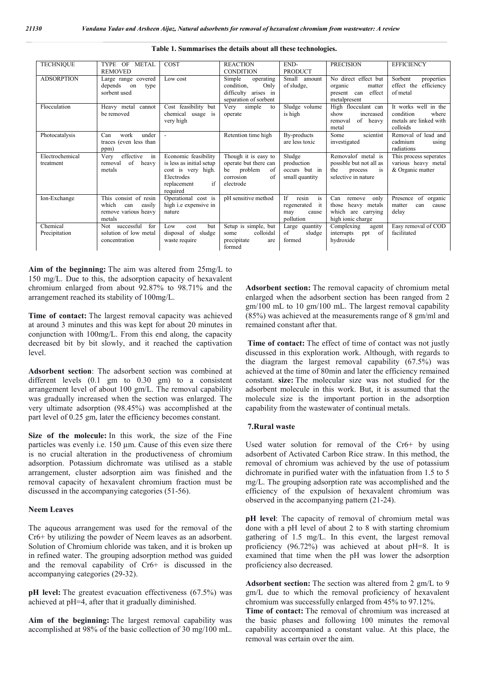| <b>TECHNIQUE</b>             | TYPE OF<br><b>METAL</b><br><b>REMOVED</b>                                         | COST                                                                                                                  | <b>REACTION</b><br><b>CONDITION</b>                                                                  | END-<br><b>PRODUCT</b>                                                     | <b>PRECISION</b>                                                                                    | <b>EFFICIENCY</b>                                                                |
|------------------------------|-----------------------------------------------------------------------------------|-----------------------------------------------------------------------------------------------------------------------|------------------------------------------------------------------------------------------------------|----------------------------------------------------------------------------|-----------------------------------------------------------------------------------------------------|----------------------------------------------------------------------------------|
| <b>ADSORPTION</b>            | Large range covered<br>depends<br>on<br>type<br>sorbent used                      | Low cost                                                                                                              | Simple<br>operating<br>condition.<br>Only<br>arises in<br>difficulty<br>separation of sorbent        | Small<br>amount<br>of sludge,                                              | No direct effect but<br>organic<br>matter<br>effect<br>present<br>can<br>metalpresent               | Sorbent<br>properties<br>efficiency<br>effect the<br>of metal                    |
| Flocculation                 | Heavy metal<br>cannot<br>be removed                                               | Cost feasibility but<br>chemical usage is<br>very high                                                                | Very<br>simple<br>to<br>operate                                                                      | Sludge volume<br>is high                                                   | High flocculant can<br>show<br>increased<br>of heavy<br>removal<br>metal                            | It works well in the<br>condition<br>where<br>metals are linked with<br>colloids |
| Photocatalysis               | work<br>under<br>Can<br>traces (even less than<br>ppm)                            | $\overline{\phantom{a}}$                                                                                              | Retention time high                                                                                  | By-products<br>are less toxic                                              | scientist<br>Some<br>investigated                                                                   | Removal of lead and<br>cadmium<br>using<br>radiations                            |
| Electrochemical<br>treatment | effective<br>in<br>Very<br>of<br>heavy<br>removal<br>metals                       | Economic feasibility<br>is less as initial setup<br>cost is very high.<br>Electrodes<br>if<br>replacement<br>required | Though it is easy to<br>operate but there can<br>problem<br>be<br>of<br>of<br>corrosion<br>electrode | Sludge<br>production<br>occurs but in<br>small quantity                    | Removalof metal is<br>possible but not all as<br>the<br>process<br><i>is</i><br>selective in nature | This process seperates<br>various heavy metal<br>& Organic matter                |
| Ion-Exchange                 | This consist of resin<br>which<br>easily<br>can<br>remove various heavy<br>metals | Operational cost is<br>high <i>i.e</i> expensive in<br>nature                                                         | pH sensitive method                                                                                  | <b>If</b><br>resin<br>is<br>it<br>regenerated<br>may<br>cause<br>pollution | Can<br>remove<br>only<br>heavy metals<br>those<br>which are carrying<br>high ionic charge           | Presence<br>of organic<br>matter<br>can<br>cause<br>delay                        |
| Chemical<br>Precipitation    | successful<br>for<br>Not<br>solution of low metal<br>concentration                | but<br>Low<br>cost<br>disposal of sludge<br>waste require                                                             | Setup is simple, but<br>colloidal<br>some<br>precipitate<br>are                                      | Large quantity<br>of<br>sludge<br>formed                                   | Complexing<br>agent<br>interrupts<br>of<br>ppt<br>hydroxide                                         | Easy removal of COD<br>facilitated                                               |

#### Table 1. Summarises the details about all these technologies.

**Aim of the beginning:** The aim was altered from 25mg/L to 150 mg/L. Due to this, the adsorption capacity of hexavalent chromium enlarged from about 92.87% to 98.71% and the arrangement reached its stability of 100mg/L.

**Time of contact:** The largest removal capacity was achieved at around 3 minutes and this was kept for about 20 minutes in conjunction with 100mg/L. From this end along, the capacity decreased bit by bit slowly, and it reached the captivation level.

**Adsorbent section**: The adsorbent section was combined at different levels (0.1 gm to 0.30 gm) to a consistent arrangement level of about 100 gm/L. The removal capability was gradually increased when the section was enlarged. The very ultimate adsorption (98.45%) was accomplished at the part level of 0.25 gm, later the efficiency becomes constant.

**Size of the molecule:** In this work, the size of the Fine particles was evenly i.e. 150 µm. Cause of this even size there is no crucial alteration in the productiveness of chromium adsorption. Potassium dichromate was utilised as a stable arrangement, cluster adsorption aim was finished and the removal capacity of hexavalent chromium fraction must be discussed in the accompanying categories (51-56).

#### **Neem Leaves**

The aqueous arrangement was used for the removal of the Cr6+ by utilizing the powder of Neem leaves as an adsorbent. Solution of Chromium chloride was taken, and it is broken up in refined water. The grouping adsorption method was guided and the removal capability of Cr6+ is discussed in the accompanying categories (29-32).

**pH** level: The greatest evacuation effectiveness (67.5%) was achieved at pH=4, after that it gradually diminished.

**Aim of the beginning:** The largest removal capability was accomplished at 98% of the basic collection of 30 mg/100 mL. **Adsorbent section:** The removal capacity of chromium metal enlarged when the adsorbent section has been ranged from 2 gm/100 mL to 10 gm/100 mL. The largest removal capability (85%) was achieved at the measurements range of 8 gm/ml and remained constant after that.

**Time of contact:** The effect of time of contact was not justly discussed in this exploration work. Although, with regards to the diagram the largest removal capability (67.5%) was achieved at the time of 80min and later the efficiency remained constant. **size:** The molecular size was not studied for the adsorbent molecule in this work. But, it is assumed that the molecule size is the important portion in the adsorption capability from the wastewater of continual metals.

#### **7.Rural waste**

Used water solution for removal of the Cr6+ by using adsorbent of Activated Carbon Rice straw. In this method, the removal of chromium was achieved by the use of potassium dichromate in purified water with the infatuation from 1.5 to 5 mg/L. The grouping adsorption rate was accomplished and the efficiency of the expulsion of hexavalent chromium was observed in the accompanying pattern (21-24).

**pH level**: The capacity of removal of chromium metal was done with a pH level of about 2 to 8 with starting chromium gathering of 1.5 mg/L. In this event, the largest removal proficiency (96.72%) was achieved at about pH=8. It is examined that time when the pH was lower the adsorption proficiency also decreased.

**Adsorbent section:** The section was altered from 2 gm/L to 9 gm/L due to which the removal proficiency of hexavalent chromium was successfully enlarged from 45% to 97.12%.

**Time of contact:** The removal of chromium was increased at the basic phases and following 100 minutes the removal capability accompanied a constant value. At this place, the removal was certain over the aim.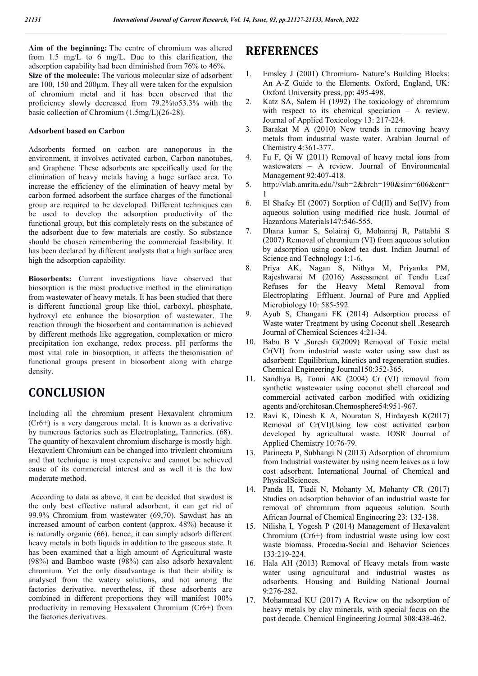**Aim of the beginning:** The centre of chromium was altered from 1.5 mg/L to 6 mg/L. Due to this clarification, the adsorption capability had been diminished from 76% to 46%. **Size of the molecule:** The various molecular size of adsorbent are 100, 150 and 200µm. They all were taken for the expulsion of chromium metal and it has been observed that the proficiency slowly decreased from 79.2%to53.3% with the basic collection of Chromium (1.5mg/L)(26-28).

#### **Adsorbent based on Carbon**

Adsorbents formed on carbon are nanoporous in the environment, it involves activated carbon, Carbon nanotubes, and Graphene. These adsorbents are specifically used for the elimination of heavy metals having a huge surface area. To increase the efficiency of the elimination of heavy metal by carbon formed adsorbent the surface charges of the functional group are required to be developed. Different techniques can be used to develop the adsorption productivity of the functional group, but this completely rests on the substance of the adsorbent due to few materials are costly. So substance should be chosen remembering the commercial feasibility. It has been declared by different analysts that a high surface area high the adsorption capability.

**Biosorbents:** Current investigations have observed that biosorption is the most productive method in the elimination from wastewater of heavy metals. It has been studied that there is different functional group like thiol, carboxyl, phosphate, hydroxyl etc enhance the biosorption of wastewater. The reaction through the biosorbent and contamination is achieved by different methods like aggregation, complexation or micro precipitation ion exchange, redox process. pH performs the most vital role in biosorption, it affects the theionisation of functional groups present in biosorbent along with charge density.

# **CONCLUSION**

Including all the chromium present Hexavalent chromium (Cr6+) is a very dangerous metal. It is known as a derivative by numerous factories such as Electroplating, Tanneries. (68). The quantity of hexavalent chromium discharge is mostly high. Hexavalent Chromium can be changed into trivalent chromium and that technique is most expensive and cannot be achieved cause of its commercial interest and as well it is the low moderate method.

According to data as above, it can be decided that sawdust is the only best effective natural adsorbent, it can get rid of 99.9% Chromium from wastewater (69,70). Sawdust has an increased amount of carbon content (approx. 48%) because it is naturally organic (66). hence, it can simply adsorb different heavy metals in both liquids in addition to the gaseous state. It has been examined that a high amount of Agricultural waste (98%) and Bamboo waste (98%) can also adsorb hexavalent chromium. Yet the only disadvantage is that their ability is analysed from the watery solutions, and not among the factories derivative. nevertheless, if these adsorbents are combined in different proportions they will manifest 100% productivity in removing Hexavalent Chromium (Cr6+) from the factories derivatives.

# **REFERENCES**

- 1. Emsley J (2001) Chromium- Nature's Building Blocks: An A-Z Guide to the Elements. Oxford, England, UK: Oxford University press, pp: 495-498.
- 2. Katz SA, Salem H (1992) The toxicology of chromium with respect to its chemical speciation – A review. Journal of Applied Toxicology 13: 217-224.
- 3. Barakat M A (2010) New trends in removing heavy metals from industrial waste water. Arabian Journal of Chemistry 4:361-377.
- 4. Fu F, Qi W (2011) Removal of heavy metal ions from wastewaters – A review. Journal of Environmental Management 92:407-418.
- 5. http://vlab.amrita.edu/?sub=2&brch=190&sim=606&cnt= 1
- 6. El Shafey EI (2007) Sorption of Cd(II) and Se(IV) from aqueous solution using modified rice husk. Journal of Hazardous Materials147:546-555.
- 7. Dhana kumar S, Solairaj G, Mohanraj R, Pattabhi S (2007) Removal of chromium (VI) from aqueous solution by adsorption using cooked tea dust. Indian Journal of Science and Technology 1:1-6.
- 8. Priya AK, Nagan S, Nithya M, Priyanka PM, Rajeshwarai M (2016) Assessment of Tendu Leaf Refuses for the Heavy Metal Removal from Electroplating Effluent. Journal of Pure and Applied Microbiology 10: 585-592.
- 9. Ayub S, Changani FK (2014) Adsorption process of Waste water Treatment by using Coconut shell .Research Journal of Chemical Sciences 4:21-34.
- 10. Babu B V ,Suresh G(2009) Removal of Toxic metal Cr(VI) from industrial waste water using saw dust as adsorbent: Equilibrium, kinetics and regeneration studies. Chemical Engineering Journal150:352-365.
- 11. Sandhya B, Tonni AK (2004) Cr (VI) removal from synthetic wastewater using coconut shell charcoal and commercial activated carbon modified with oxidizing agents and/orchitosan.Chemosphere54:951-967.
- 12. Ravi K, Dinesh K A, Nouratan S, Hirdayesh K(2017) Removal of Cr(VI)Using low cost activated carbon developed by agricultural waste. IOSR Journal of Applied Chemistry 10:76-79.
- 13. Parineeta P, Subhangi N (2013) Adsorption of chromium from Industrial wastewater by using neem leaves as a low cost adsorbent. International Journal of Chemical and PhysicalSciences.
- 14. Panda H, Tiadi N, Mohanty M, Mohanty CR (2017) Studies on adsorption behavior of an industrial waste for removal of chromium from aqueous solution. South African Journal of Chemical Engineering 23: 132-138.
- 15. Nilisha I, Yogesh P (2014) Management of Hexavalent Chromium (Cr6+) from industrial waste using low cost waste biomass. Procedia-Social and Behavior Sciences 133:219-224.
- 16. Hala AH (2013) Removal of Heavy metals from waste water using agricultural and industrial wastes as adsorbents. Housing and Building National Journal 9:276-282.
- 17. Mohammad KU (2017) A Review on the adsorption of heavy metals by clay minerals, with special focus on the past decade. Chemical Engineering Journal 308:438-462.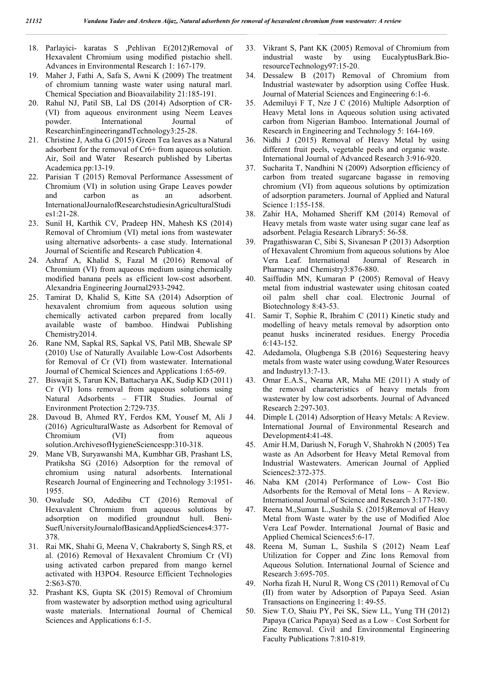- 18. Parlayici- karatas S ,Pehlivan E(2012)Removal of Hexavalent Chromium using modified pistachio shell. Advances in Environmental Research 1: 167-179.
- 19. Maher J, Fathi A, Safa S, Awni K (2009) The treatment of chromium tanning waste water using natural marl. Chemical Speciation and Bioavailability 21:185-191.
- 20. Rahul NJ, Patil SB, Lal DS (2014) Adsorption of CR- (VI) from aqueous environment using Neem Leaves powder. International Journal of ResearchinEngineeringandTechnology3:25-28.
- 21. Christine J, Astha G (2015) Green Tea leaves as a Natural adsorbent for the removal of Cr6+ from aqueous solution. Air, Soil and Water Research published by Libertas Academica pp:13-19.
- 22. Parisian T (2015) Removal Performance Assessment of Chromium (VI) in solution using Grape Leaves powder and carbon as an adsorbent. InternationalJournalofResearchstudiesinAgriculturalStudi  $es1:21-28$
- 23. Sunil H, Karthik CV, Pradeep HN, Mahesh KS (2014) Removal of Chromium (VI) metal ions from wastewater using alternative adsorbents- a case study. International Journal of Scientific and Research Publication 4.
- 24. Ashraf A, Khalid S, Fazal M (2016) Removal of Chromium (VI) from aqueous medium using chemically modified banana peels as efficient low-cost adsorbent. Alexandria Engineering Journal2933-2942.
- 25. Tamirat D, Khalid S, Kitte SA (2014) Adsorption of hexavalent chromium from aqueous solution using chemically activated carbon prepared from locally available waste of bamboo. Hindwai Publishing Chemistry2014.
- 26. Rane NM, Sapkal RS, Sapkal VS, Patil MB, Shewale SP (2010) Use of Naturally Available Low-Cost Adsorbents for Removal of Cr (VI) from wastewater. International Journal of Chemical Sciences and Applications 1:65-69.
- 27. Biswajit S, Tarun KN, Battacharya AK, Sudip KD (2011) Cr (VI) Ions removal from aqueous solutions using Natural Adsorbents – FTIR Studies. Journal of Environment Protection 2:729-735.
- 28. Davoud B, Ahmed RY, Ferdos KM, Yousef M, Ali J (2016) AgriculturalWaste as Adsorbent for Removal of Chromium (VI) from aqueous solution.ArchivesofHygieneSciencespp:310-318.
- 29. Mane VB, Suryawanshi MA, Kumbhar GB, Prashant LS, Pratiksha SG (2016) Adsorption for the removal of chromium using natural adsorbents. International Research Journal of Engineering and Technology 3:1951- 1955.
- 30. Owalude SO, Adedibu CT (2016) Removal of Hexavalent Chromium from aqueous solutions by adsorption on modified groundnut hull. Beni-SuefUniversityJournalofBasicandAppliedSciences4:377- 378.
- 31. Rai MK, Shahi G, Meena V, Chakraborty S, Singh RS, et al. (2016) Removal of Hexavalent Chromium Cr (VI) using activated carbon prepared from mango kernel activated with H3PO4. Resource Efficient Technologies 2:S63-S70.
- 32. Prashant KS, Gupta SK (2015) Removal of Chromium from wastewater by adsorption method using agricultural waste materials. International Journal of Chemical Sciences and Applications 6:1-5.
- 33. Vikrant S, Pant KK (2005) Removal of Chromium from industrial waste by using EucalyptusBark.BioresourceTechnology97:15-20.
- 34. Dessalew B (2017) Removal of Chromium from Industrial wastewater by adsorption using Coffee Husk. Journal of Material Sciences and Engineering 6:1-6.
- 35. Ademiluyi F T, Nze J C (2016) Multiple Adsorption of Heavy Metal Ions in Aqueous solution using activated carbon from Nigerian Bamboo. International Journal of Research in Engineering and Technology 5: 164-169.
- 36. Nidhi J (2015) Removal of Heavy Metal by using different fruit peels, vegetable peels and organic waste. International Journal of Advanced Research 3:916-920.
- 37. Sucharita T, Nandhini N (2009) Adsorption efficiency of carbon from treated sugarcane bagasse in removing chromium (VI) from aqueous solutions by optimization of adsorption parameters. Journal of Applied and Natural Science 1:155-158.
- 38. Zahir HA, Mohamed Sheriff KM (2014) Removal of Heavy metals from waste water using sugar cane leaf as adsorbent. Pelagia Research Library5: 56-58.
- 39. Pragathiswaran C, Sibi S, Sivanesan P (2013) Adsorption of Hexavalent Chromium from aqueous solutions by Aloe Vera Leaf. International Journal of Research in Pharmacy and Chemistry3:876-880.
- 40. Saiffudin MN, Kumaran P (2005) Removal of Heavy metal from industrial wastewater using chitosan coated oil palm shell char coal. Electronic Journal of Biotechnology 8:43-53.
- 41. Samir T, Sophie R, Ibrahim C (2011) Kinetic study and modelling of heavy metals removal by adsorption onto peanut husks incinerated residues. Energy Procedia 6:143-152.
- 42. Adedamola, Olugbenga S.B (2016) Sequestering heavy metals from waste water using cowdung.Water Resources and Industry13:7-13.
- 43. Omar E.A.S., Neama AR, Maha ME (2011) A study of the removal characteristics of heavy metals from wastewater by low cost adsorbents. Journal of Advanced Research 2:297-303.
- 44. Dimple L (2014) Adsorption of Heavy Metals: A Review. International Journal of Environmental Research and Development4:41-48.
- 45. Amir H.M, Dariush N, Forugh V, Shahrokh N (2005) Tea waste as An Adsorbent for Heavy Metal Removal from Industrial Wastewaters. American Journal of Applied Sciences2:372-375.
- 46. Naba KM (2014) Performance of Low- Cost Bio Adsorbents for the Removal of Metal Ions – A Review. International Journal of Science and Research 3:177-180.
- 47. Reena M.,Suman L.,Sushila S. (2015)Removal of Heavy Metal from Waste water by the use of Modified Aloe Vera Leaf Powder. International Journal of Basic and Applied Chemical Sciences5:6-17.
- 48. Reena M, Suman L, Sushila S (2012) Neam Leaf Utilization for Copper and Zinc Ions Removal from Aqueous Solution. International Journal of Science and Research 3:695-705.
- 49. Norha fizah H, Nurul R, Wong CS (2011) Removal of Cu (II) from water by Adsorption of Papaya Seed. Asian Transactions on Engineering 1: 49-55.
- 50. Siew T.O, Shaiu PY, Pei SK, Siew LL, Yung TH (2012) Papaya (Carica Papaya) Seed as a Low – Cost Sorbent for Zinc Removal. Civil and Environmental Engineering Faculty Publications 7:810-819.